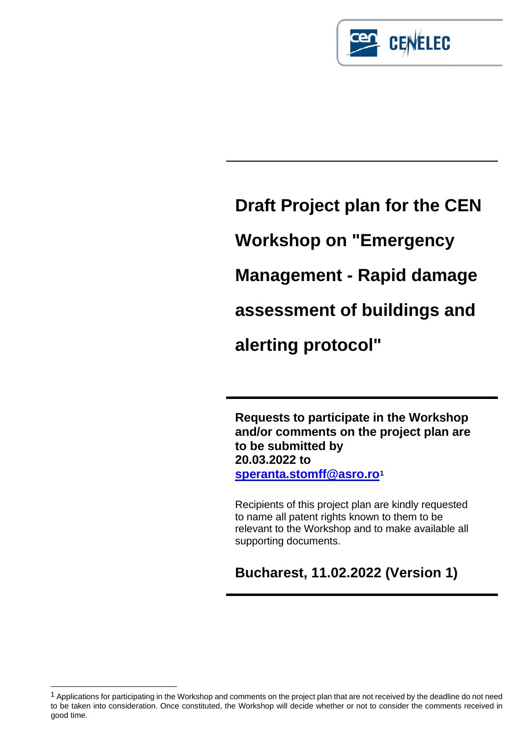

**Draft Project plan for the CEN Workshop on "Emergency Management - Rapid damage assessment of buildings and alerting protocol"**

**Requests to participate in the Workshop and/or comments on the project plan are to be submitted by 20.03.2022 to [speranta.stomff@asro.ro](mailto:speranta.stomff@asro.ro)[1](#page-0-0)**

Recipients of this project plan are kindly requested to name all patent rights known to them to be relevant to the Workshop and to make available all supporting documents.

**Bucharest, 11.02.2022 (Version 1)**

<span id="page-0-0"></span><sup>&</sup>lt;sup>1</sup> Applications for participating in the Workshop and comments on the project plan that are not received by the deadline do not need to be taken into consideration. Once constituted, the Workshop will decide whether or not to consider the comments received in good time.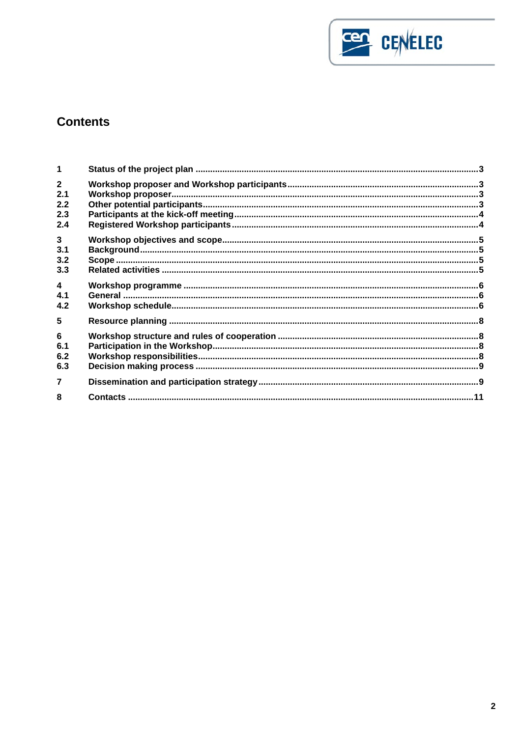

# **Contents**

| 1                                        |  |
|------------------------------------------|--|
| $2^{\circ}$<br>2.1<br>2.2<br>2.3<br>2.4  |  |
| $\mathbf{3}$<br>3.1<br>3.2<br>3.3        |  |
| $\overline{\mathbf{4}}$<br>4.1<br>4.2    |  |
| 5<br>$6\phantom{1}$<br>6.1<br>6.2<br>6.3 |  |
| $\overline{7}$<br>8                      |  |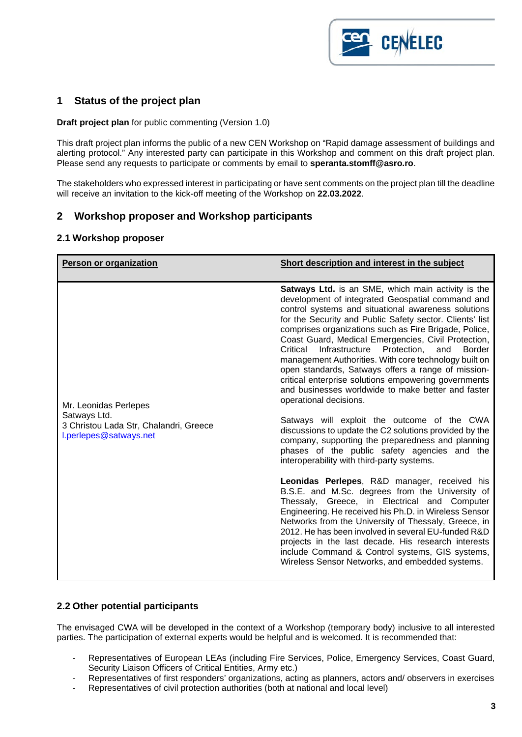

# <span id="page-2-0"></span>**1 Status of the project plan**

**Draft project plan** for public commenting (Version 1.0)

This draft project plan informs the public of a new CEN Workshop on "Rapid damage assessment of buildings and alerting protocol." Any interested party can participate in this Workshop and comment on this draft project plan. Please send any requests to participate or comments by email to **speranta.stomff@asro.ro**.

The stakeholders who expressed interest in participating or have sent comments on the project plan till the deadline will receive an invitation to the kick-off meeting of the Workshop on **22.03.2022**.

### <span id="page-2-1"></span>**2 Workshop proposer and Workshop participants**

#### <span id="page-2-2"></span>**2.1 Workshop proposer**

| Person or organization                                                                                    | Short description and interest in the subject                                                                                                                                                                                                                                                                                                                                                                                                                                                                                                                                                                                                                                                                                                                                                                                                                                                                                                                                                                                                                                                                                                                                                                                                                                                                                                                                                                                    |
|-----------------------------------------------------------------------------------------------------------|----------------------------------------------------------------------------------------------------------------------------------------------------------------------------------------------------------------------------------------------------------------------------------------------------------------------------------------------------------------------------------------------------------------------------------------------------------------------------------------------------------------------------------------------------------------------------------------------------------------------------------------------------------------------------------------------------------------------------------------------------------------------------------------------------------------------------------------------------------------------------------------------------------------------------------------------------------------------------------------------------------------------------------------------------------------------------------------------------------------------------------------------------------------------------------------------------------------------------------------------------------------------------------------------------------------------------------------------------------------------------------------------------------------------------------|
| Mr. Leonidas Perlepes<br>Satways Ltd.<br>3 Christou Lada Str, Chalandri, Greece<br>l.perlepes@satways.net | <b>Satways Ltd.</b> is an SME, which main activity is the<br>development of integrated Geospatial command and<br>control systems and situational awareness solutions<br>for the Security and Public Safety sector. Clients' list<br>comprises organizations such as Fire Brigade, Police,<br>Coast Guard, Medical Emergencies, Civil Protection,<br>Critical<br>Infrastructure<br>Protection.<br>and<br><b>Border</b><br>management Authorities. With core technology built on<br>open standards, Satways offers a range of mission-<br>critical enterprise solutions empowering governments<br>and businesses worldwide to make better and faster<br>operational decisions.<br>Satways will exploit the outcome of the CWA<br>discussions to update the C2 solutions provided by the<br>company, supporting the preparedness and planning<br>phases of the public safety agencies and the<br>interoperability with third-party systems.<br>Leonidas Perlepes, R&D manager, received his<br>B.S.E. and M.Sc. degrees from the University of<br>Thessaly, Greece, in Electrical and Computer<br>Engineering. He received his Ph.D. in Wireless Sensor<br>Networks from the University of Thessaly, Greece, in<br>2012. He has been involved in several EU-funded R&D<br>projects in the last decade. His research interests<br>include Command & Control systems, GIS systems,<br>Wireless Sensor Networks, and embedded systems. |

#### <span id="page-2-3"></span>**2.2 Other potential participants**

The envisaged CWA will be developed in the context of a Workshop (temporary body) inclusive to all interested parties. The participation of external experts would be helpful and is welcomed. It is recommended that:

- Representatives of European LEAs (including Fire Services, Police, Emergency Services, Coast Guard, Security Liaison Officers of Critical Entities, Army etc.)
- Representatives of first responders' organizations, acting as planners, actors and/ observers in exercises
- Representatives of civil protection authorities (both at national and local level)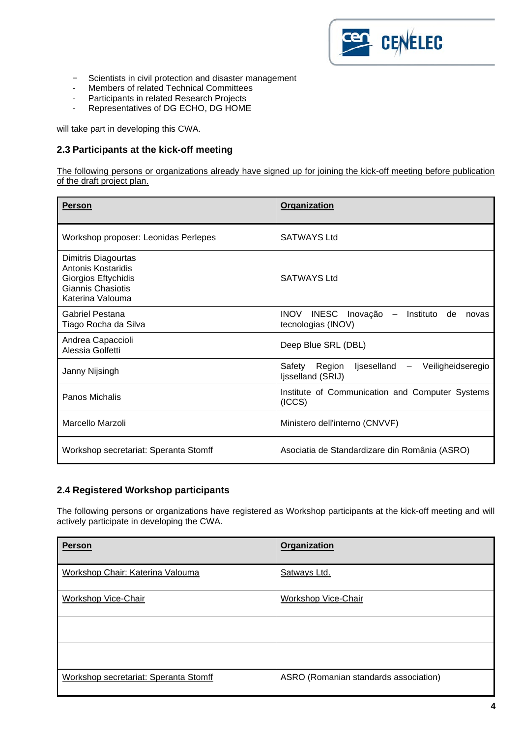

- − Scientists in civil protection and disaster management<br>- Members of related Technical Committees
- Members of related Technical Committees<br>- Participants in related Research Projects
- Participants in related Research Projects
- Representatives of DG ECHO, DG HOME

will take part in developing this CWA.

### <span id="page-3-0"></span>**2.3 Participants at the kick-off meeting**

The following persons or organizations already have signed up for joining the kick-off meeting before publication of the draft project plan.

| <b>Person</b>                                                                                                    | <b>Organization</b>                                                                       |  |  |  |  |  |  |  |  |
|------------------------------------------------------------------------------------------------------------------|-------------------------------------------------------------------------------------------|--|--|--|--|--|--|--|--|
| Workshop proposer: Leonidas Perlepes                                                                             | <b>SATWAYS Ltd</b>                                                                        |  |  |  |  |  |  |  |  |
| Dimitris Diagourtas<br><b>Antonis Kostaridis</b><br>Giorgios Eftychidis<br>Giannis Chasiotis<br>Katerina Valouma | SATWAYS Ltd                                                                               |  |  |  |  |  |  |  |  |
| <b>Gabriel Pestana</b><br>Tiago Rocha da Silva                                                                   | <b>INOV</b><br><b>INESC</b><br>Inovação<br>Instituto<br>de<br>novas<br>tecnologias (INOV) |  |  |  |  |  |  |  |  |
| Andrea Capaccioli<br>Alessia Golfetti                                                                            | Deep Blue SRL (DBL)                                                                       |  |  |  |  |  |  |  |  |
| Janny Nijsingh                                                                                                   | Safety<br>Region<br>ljseselland -<br>Veiligheidseregio<br>Ijsselland (SRIJ)               |  |  |  |  |  |  |  |  |
| Panos Michalis                                                                                                   | Institute of Communication and Computer Systems<br>(ICCS)                                 |  |  |  |  |  |  |  |  |
| Marcello Marzoli                                                                                                 | Ministero dell'interno (CNVVF)                                                            |  |  |  |  |  |  |  |  |
| Workshop secretariat: Speranta Stomff                                                                            | Asociatia de Standardizare din România (ASRO)                                             |  |  |  |  |  |  |  |  |

### <span id="page-3-1"></span>**2.4 Registered Workshop participants**

The following persons or organizations have registered as Workshop participants at the kick-off meeting and will actively participate in developing the CWA.

| <b>Person</b>                         | <b>Organization</b>                   |
|---------------------------------------|---------------------------------------|
| Workshop Chair: Katerina Valouma      | Satways Ltd.                          |
| Workshop Vice-Chair                   | Workshop Vice-Chair                   |
|                                       |                                       |
|                                       |                                       |
| Workshop secretariat: Speranta Stomff | ASRO (Romanian standards association) |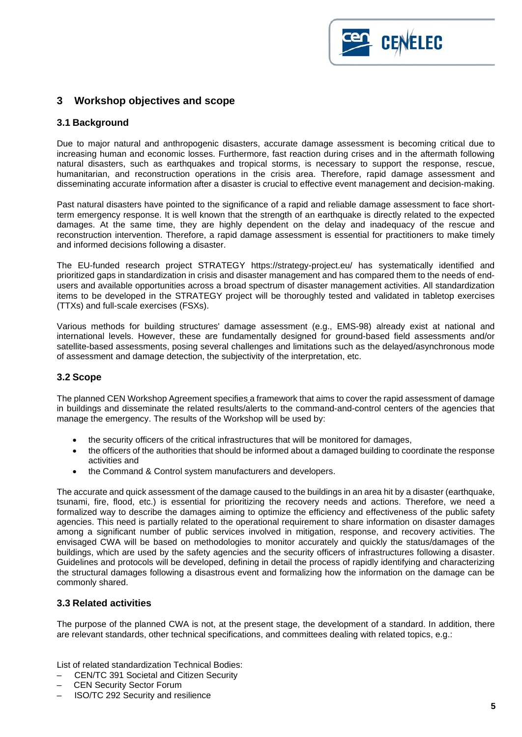

# <span id="page-4-0"></span>**3 Workshop objectives and scope**

#### <span id="page-4-1"></span>**3.1 Background**

Due to major natural and anthropogenic disasters, accurate damage assessment is becoming critical due to increasing human and economic losses. Furthermore, fast reaction during crises and in the aftermath following natural disasters, such as earthquakes and tropical storms, is necessary to support the response, rescue, humanitarian, and reconstruction operations in the crisis area. Therefore, rapid damage assessment and disseminating accurate information after a disaster is crucial to effective event management and decision-making.

Past natural disasters have pointed to the significance of a rapid and reliable damage assessment to face shortterm emergency response. It is well known that the strength of an earthquake is directly related to the expected damages. At the same time, they are highly dependent on the delay and inadequacy of the rescue and reconstruction intervention. Therefore, a rapid damage assessment is essential for practitioners to make timely and informed decisions following a disaster.

The EU-funded research project STRATEGY https://strategy-project.eu/ has systematically identified and prioritized gaps in standardization in crisis and disaster management and has compared them to the needs of endusers and available opportunities across a broad spectrum of disaster management activities. All standardization items to be developed in the STRATEGY project will be thoroughly tested and validated in tabletop exercises (TTXs) and full-scale exercises (FSXs).

Various methods for building structures' damage assessment (e.g., EMS-98) already exist at national and international levels. However, these are fundamentally designed for ground-based field assessments and/or satellite-based assessments, posing several challenges and limitations such as the delayed/asynchronous mode of assessment and damage detection, the subjectivity of the interpretation, etc.

### <span id="page-4-2"></span>**3.2 Scope**

The planned CEN Workshop Agreement specifies a framework that aims to cover the rapid assessment of damage in buildings and disseminate the related results/alerts to the command-and-control centers of the agencies that manage the emergency. The results of the Workshop will be used by:

- the security officers of the critical infrastructures that will be monitored for damages,
- the officers of the authorities that should be informed about a damaged building to coordinate the response activities and
- the Command & Control system manufacturers and developers.

The accurate and quick assessment of the damage caused to the buildings in an area hit by a disaster (earthquake, tsunami, fire, flood, etc.) is essential for prioritizing the recovery needs and actions. Therefore, we need a formalized way to describe the damages aiming to optimize the efficiency and effectiveness of the public safety agencies. This need is partially related to the operational requirement to share information on disaster damages among a significant number of public services involved in mitigation, response, and recovery activities. The envisaged CWA will be based on methodologies to monitor accurately and quickly the status/damages of the buildings, which are used by the safety agencies and the security officers of infrastructures following a disaster. Guidelines and protocols will be developed, defining in detail the process of rapidly identifying and characterizing the structural damages following a disastrous event and formalizing how the information on the damage can be commonly shared.

#### <span id="page-4-3"></span>**3.3 Related activities**

The purpose of the planned CWA is not, at the present stage, the development of a standard. In addition, there are relevant standards, other technical specifications, and committees dealing with related topics, e.g.:

List of related standardization Technical Bodies:

- CEN/TC 391 Societal and Citizen Security
- CEN Security Sector Forum
- ISO/TC 292 Security and resilience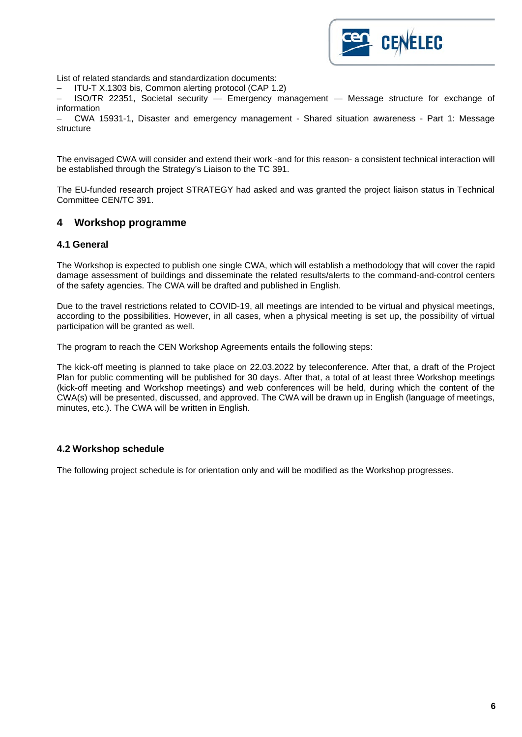

List of related standards and standardization documents:

– ITU-T X.1303 bis, Common alerting protocol (CAP 1.2)

– ISO/TR 22351, Societal security — Emergency management — Message structure for exchange of information

– CWA 15931-1, Disaster and emergency management - Shared situation awareness - Part 1: Message structure

The envisaged CWA will consider and extend their work -and for this reason- a consistent technical interaction will be established through the Strategy's Liaison to the TC 391.

The EU-funded research project STRATEGY had asked and was granted the project liaison status in Technical Committee CEN/TC 391.

### <span id="page-5-0"></span>**4 Workshop programme**

#### <span id="page-5-1"></span>**4.1 General**

The Workshop is expected to publish one single CWA, which will establish a methodology that will cover the rapid damage assessment of buildings and disseminate the related results/alerts to the command-and-control centers of the safety agencies. The CWA will be drafted and published in English.

Due to the travel restrictions related to COVID-19, all meetings are intended to be virtual and physical meetings, according to the possibilities. However, in all cases, when a physical meeting is set up, the possibility of virtual participation will be granted as well.

The program to reach the CEN Workshop Agreements entails the following steps:

The kick-off meeting is planned to take place on 22.03.2022 by teleconference. After that, a draft of the Project Plan for public commenting will be published for 30 days. After that, a total of at least three Workshop meetings (kick-off meeting and Workshop meetings) and web conferences will be held, during which the content of the CWA(s) will be presented, discussed, and approved. The CWA will be drawn up in English (language of meetings, minutes, etc.). The CWA will be written in English.

#### <span id="page-5-2"></span>**4.2 Workshop schedule**

The following project schedule is for orientation only and will be modified as the Workshop progresses.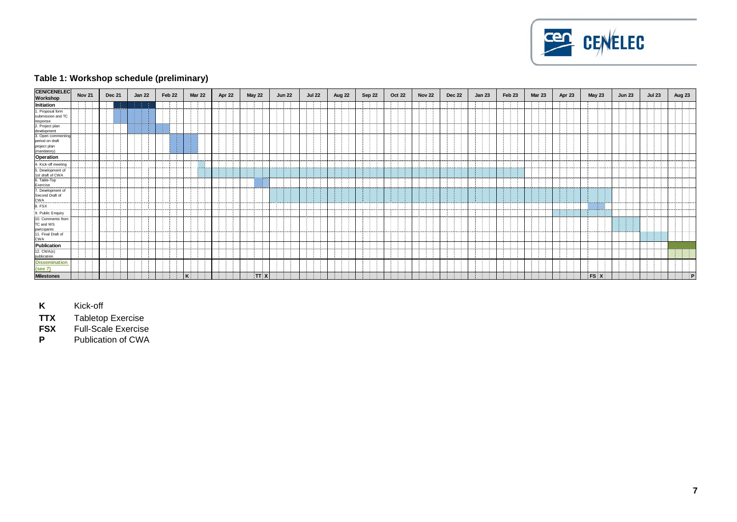

### **Table 1: Workshop schedule (preliminary)**

| <b>CEN/CENELEC</b><br>Workshop   | <b>Nov 21</b> | <b>Dec 21</b> | <b>Jan 22</b> | Feb 22 | <b>Mar 22</b>          | Apr 22                      | <b>May 22</b>     | <b>Jun 22</b> | <b>Jul 22</b>      | Aug 22                     | Sep 22 | <b>Oct 22</b> | <b>Nov 22</b>                            | <b>Dec 22</b>       | <b>Jan 23</b>                | Feb 23       | <b>Mar 23</b> | Apr 23                 | <b>May 23</b> | <b>Jun 23</b> | <b>Jul 23</b> | Aug 23 |
|----------------------------------|---------------|---------------|---------------|--------|------------------------|-----------------------------|-------------------|---------------|--------------------|----------------------------|--------|---------------|------------------------------------------|---------------------|------------------------------|--------------|---------------|------------------------|---------------|---------------|---------------|--------|
| Initiation                       |               | -11           |               |        |                        |                             |                   |               |                    |                            |        |               |                                          |                     |                              |              |               |                        |               |               |               |        |
| 1. Proposal form                 |               | -11           |               |        |                        |                             |                   |               |                    |                            |        |               |                                          |                     |                              |              |               |                        |               |               |               |        |
| submission and TC                |               |               |               |        |                        |                             |                   |               |                    |                            |        |               |                                          |                     |                              |              |               |                        |               |               |               |        |
| response                         |               |               |               |        |                        |                             |                   |               |                    |                            |        |               |                                          |                     |                              |              |               |                        |               |               |               |        |
| 2. Project plan<br>development   |               |               |               |        |                        |                             |                   |               |                    |                            |        |               |                                          |                     |                              |              |               |                        |               |               |               |        |
| 3. Open commenting               |               |               |               |        |                        |                             |                   |               |                    |                            |        |               |                                          |                     |                              |              |               |                        |               |               |               |        |
| period on draft                  |               |               |               |        |                        |                             |                   |               |                    |                            |        |               |                                          |                     |                              |              |               |                        |               |               |               |        |
| project plan<br>(mandatory)      |               |               |               |        |                        |                             |                   |               |                    |                            |        |               |                                          |                     |                              |              |               |                        |               |               |               |        |
| Operation                        |               |               |               |        |                        |                             |                   |               |                    |                            |        |               |                                          |                     |                              |              |               |                        |               |               |               |        |
| 4. Kick-off meeting              |               |               |               |        |                        |                             |                   |               |                    |                            |        |               |                                          |                     |                              |              |               |                        |               |               |               |        |
| 5. Development of                |               |               |               |        |                        |                             |                   |               |                    |                            |        |               |                                          |                     |                              |              |               |                        |               |               |               |        |
| 1st draft of CWA                 | .             |               | .             |        | <b>Second Contract</b> | and the company's company's | <b>STATISTICS</b> |               | and the company of | and the state of the state |        |               | <b><i>Contract Contract Contract</i></b> | and a series of the | and the contract of the con- | a matematika |               | .                      |               |               |               |        |
| 6. Table-Top                     |               |               |               |        |                        |                             |                   |               |                    |                            |        |               |                                          |                     |                              |              |               |                        |               |               |               |        |
| Exercise<br>7. Development of    |               |               |               | ---    |                        | .                           | ---------         | <br>- 31      |                    |                            |        |               | ----------                               |                     |                              |              |               | <b>College College</b> |               | .             |               |        |
| Second Draft of                  |               |               |               |        |                        |                             |                   |               |                    |                            |        |               |                                          |                     |                              |              |               |                        |               |               |               |        |
| CWA                              |               |               |               |        |                        |                             |                   |               |                    |                            |        |               |                                          |                     |                              |              |               |                        |               |               |               |        |
| 8. FSX                           |               |               |               |        |                        |                             |                   |               |                    | .                          |        |               |                                          |                     |                              |              |               | .                      | - 3           |               |               |        |
| 9. Public Enquiry                |               |               |               |        |                        |                             |                   |               |                    | .                          |        |               |                                          | .                   |                              |              |               | -21                    |               | an na mBain   |               |        |
| 10. Comments from                |               |               |               |        |                        |                             |                   |               |                    |                            |        |               |                                          |                     |                              |              |               |                        |               |               |               |        |
| TC and WS<br>partcipants         |               |               |               |        |                        |                             |                   |               |                    |                            |        |               |                                          |                     |                              |              |               |                        |               |               |               |        |
| 11. Final Draft of               |               |               |               |        |                        |                             |                   |               |                    |                            |        |               |                                          |                     |                              |              |               |                        |               |               |               |        |
| <b>CWA</b>                       |               |               |               |        |                        |                             |                   |               |                    |                            |        |               |                                          |                     |                              |              |               |                        |               |               |               |        |
| <b>Publication</b><br>12. CWA(s) |               |               |               |        |                        |                             |                   |               |                    |                            |        |               |                                          |                     |                              |              |               |                        |               |               |               |        |
|                                  |               | an dia        |               |        |                        |                             |                   |               |                    |                            |        |               |                                          |                     |                              |              |               |                        |               |               |               | an dia |
| publication                      |               |               |               |        |                        |                             |                   |               |                    |                            |        |               |                                          |                     |                              |              |               |                        |               |               |               |        |
| <b>Dissemination</b>             |               |               |               |        |                        |                             |                   |               |                    |                            |        |               |                                          |                     |                              |              |               |                        |               |               |               |        |
| (see 7)                          |               |               |               |        |                        |                             |                   |               |                    |                            |        |               |                                          |                     |                              |              |               |                        |               |               |               |        |
| <b>Milestones</b>                |               |               |               |        | $\kappa$               |                             | TTX               |               |                    |                            |        |               |                                          |                     |                              |              |               |                        | FS X          | 4             |               | ÷Р     |

**K** Kick-off<br> **TTX** Tabletop **TTX** Tabletop Exercise

**FSX** Full-Scale Exercise

**P** Publication of CWA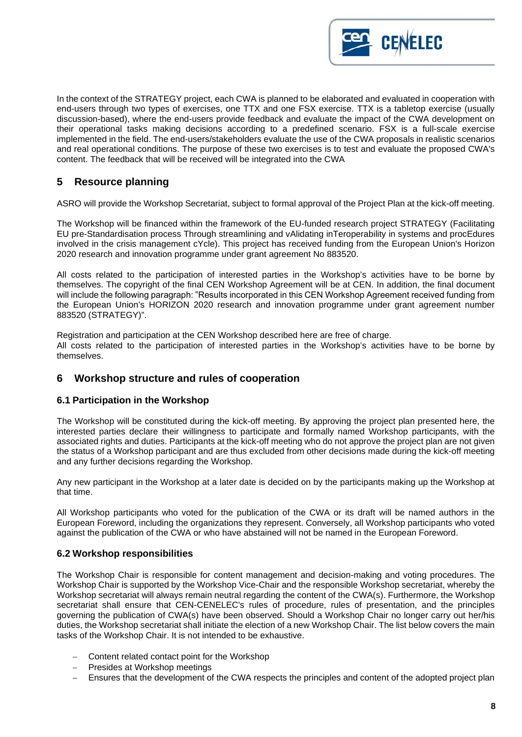

In the context of the STRATEGY project, each CWA is planned to be elaborated and evaluated in cooperation with end-users through two types of exercises, one TTX and one FSX exercise. TTX is a tabletop exercise (usually discussion-based), where the end-users provide feedback and evaluate the impact of the CWA development on their operational tasks making decisions according to a predefined scenario. FSX is a full-scale exercise implemented in the field. The end-users/stakeholders evaluate the use of the CWA proposals in realistic scenarios and real operational conditions. The purpose of these two exercises is to test and evaluate the proposed CWA's content. The feedback that will be received will be integrated into the CWA

# <span id="page-7-0"></span>**5 Resource planning**

ASRO will provide the Workshop Secretariat, subject to formal approval of the Project Plan at the kick-off meeting.

The Workshop will be financed within the framework of the EU-funded research project STRATEGY (Facilitating EU pre-Standardisation process Through streamlining and vAlidating inTeroperability in systems and procEdures involved in the crisis management cYcle). This project has received funding from the European Union's Horizon 2020 research and innovation programme under grant agreement No 883520.

All costs related to the participation of interested parties in the Workshop's activities have to be borne by themselves. The copyright of the final CEN Workshop Agreement will be at CEN. In addition, the final document will include the following paragraph: "Results incorporated in this CEN Workshop Agreement received funding from the European Union's HORIZON 2020 research and innovation programme under grant agreement number 883520 (STRATEGY)".

Registration and participation at the CEN Workshop described here are free of charge. All costs related to the participation of interested parties in the Workshop's activities have to be borne by themselves.

### <span id="page-7-1"></span>**6 Workshop structure and rules of cooperation**

#### <span id="page-7-2"></span>**6.1 Participation in the Workshop**

The Workshop will be constituted during the kick-off meeting. By approving the project plan presented here, the interested parties declare their willingness to participate and formally named Workshop participants, with the associated rights and duties. Participants at the kick-off meeting who do not approve the project plan are not given the status of a Workshop participant and are thus excluded from other decisions made during the kick-off meeting and any further decisions regarding the Workshop.

Any new participant in the Workshop at a later date is decided on by the participants making up the Workshop at that time.

All Workshop participants who voted for the publication of the CWA or its draft will be named authors in the European Foreword, including the organizations they represent. Conversely, all Workshop participants who voted against the publication of the CWA or who have abstained will not be named in the European Foreword.

### <span id="page-7-3"></span>**6.2 Workshop responsibilities**

The Workshop Chair is responsible for content management and decision-making and voting procedures. The Workshop Chair is supported by the Workshop Vice-Chair and the responsible Workshop secretariat, whereby the Workshop secretariat will always remain neutral regarding the content of the CWA(s). Furthermore, the Workshop secretariat shall ensure that CEN-CENELEC's rules of procedure, rules of presentation, and the principles governing the publication of CWA(s) have been observed. Should a Workshop Chair no longer carry out her/his duties, the Workshop secretariat shall initiate the election of a new Workshop Chair. The list below covers the main tasks of the Workshop Chair. It is not intended to be exhaustive.

- Content related contact point for the Workshop
- − Presides at Workshop meetings
- Ensures that the development of the CWA respects the principles and content of the adopted project plan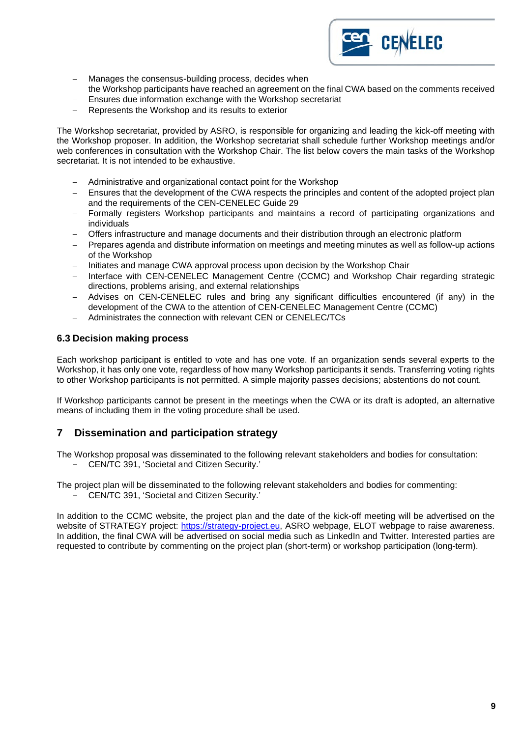

- Manages the consensus-building process, decides when
- the Workshop participants have reached an agreement on the final CWA based on the comments received
- Ensures due information exchange with the Workshop secretariat
- Represents the Workshop and its results to exterior

The Workshop secretariat, provided by ASRO, is responsible for organizing and leading the kick-off meeting with the Workshop proposer. In addition, the Workshop secretariat shall schedule further Workshop meetings and/or web conferences in consultation with the Workshop Chair. The list below covers the main tasks of the Workshop secretariat. It is not intended to be exhaustive.

- − Administrative and organizational contact point for the Workshop
- Ensures that the development of the CWA respects the principles and content of the adopted project plan and the requirements of the CEN-CENELEC Guide 29
- Formally registers Workshop participants and maintains a record of participating organizations and individuals
- Offers infrastructure and manage documents and their distribution through an electronic platform
- − Prepares agenda and distribute information on meetings and meeting minutes as well as follow-up actions of the Workshop
- − Initiates and manage CWA approval process upon decision by the Workshop Chair
- − Interface with CEN-CENELEC Management Centre (CCMC) and Workshop Chair regarding strategic directions, problems arising, and external relationships
- − Advises on CEN-CENELEC rules and bring any significant difficulties encountered (if any) in the development of the CWA to the attention of CEN-CENELEC Management Centre (CCMC)
- − Administrates the connection with relevant CEN or CENELEC/TCs

#### <span id="page-8-0"></span>**6.3 Decision making process**

Each workshop participant is entitled to vote and has one vote. If an organization sends several experts to the Workshop, it has only one vote, regardless of how many Workshop participants it sends. Transferring voting rights to other Workshop participants is not permitted. A simple majority passes decisions; abstentions do not count.

If Workshop participants cannot be present in the meetings when the CWA or its draft is adopted, an alternative means of including them in the voting procedure shall be used.

# <span id="page-8-1"></span>**7 Dissemination and participation strategy**

The Workshop proposal was disseminated to the following relevant stakeholders and bodies for consultation: − CEN/TC 391, 'Societal and Citizen Security.'

The project plan will be disseminated to the following relevant stakeholders and bodies for commenting:

− CEN/TC 391, 'Societal and Citizen Security.'

In addition to the CCMC website, the project plan and the date of the kick-off meeting will be advertised on the website of STRATEGY project: [https://strategy-project.eu,](https://strategy-project.eu/) ASRO webpage, ELOT webpage to raise awareness. In addition, the final CWA will be advertised on social media such as LinkedIn and Twitter. Interested parties are requested to contribute by commenting on the project plan (short-term) or workshop participation (long-term).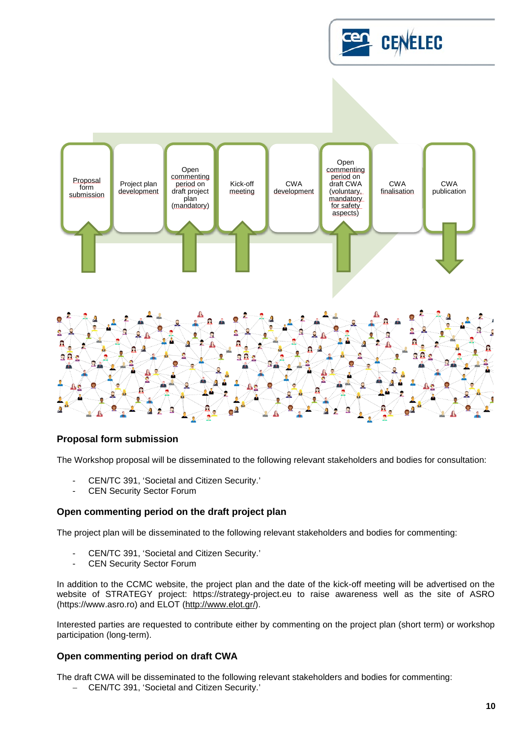



### **Proposal form submission**

The Workshop proposal will be disseminated to the following relevant stakeholders and bodies for consultation:

- CEN/TC 391, 'Societal and Citizen Security.'
- CEN Security Sector Forum

#### **Open commenting period on the draft project plan**

The project plan will be disseminated to the following relevant stakeholders and bodies for commenting:

- CEN/TC 391, 'Societal and Citizen Security.'<br>- CEN Security Sector Forum
- CEN Security Sector Forum

In addition to the CCMC website, the project plan and the date of the kick-off meeting will be advertised on the website of STRATEGY project: https://strategy-project.eu to raise awareness well as the site of ASRO (https://www.asro.ro) and ELOT [\(http://www.elot.gr/\)](http://www.elot.gr/).

Interested parties are requested to contribute either by commenting on the project plan (short term) or workshop participation (long-term).

#### **Open commenting period on draft CWA**

The draft CWA will be disseminated to the following relevant stakeholders and bodies for commenting:

− CEN/TC 391, 'Societal and Citizen Security.'